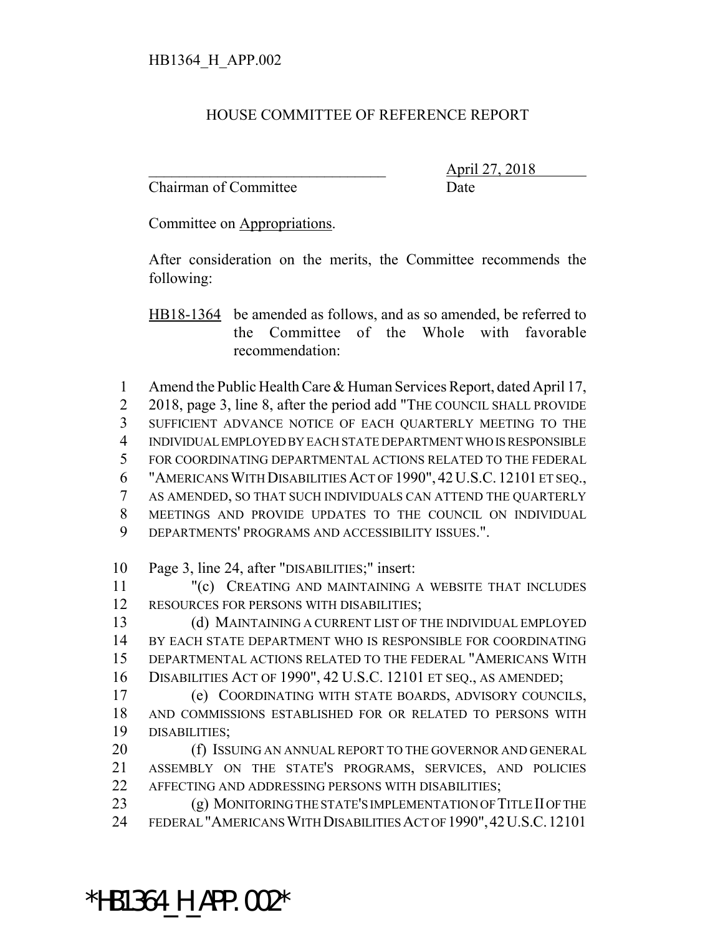## HOUSE COMMITTEE OF REFERENCE REPORT

Chairman of Committee Date

\_\_\_\_\_\_\_\_\_\_\_\_\_\_\_\_\_\_\_\_\_\_\_\_\_\_\_\_\_\_\_ April 27, 2018

Committee on Appropriations.

After consideration on the merits, the Committee recommends the following:

HB18-1364 be amended as follows, and as so amended, be referred to the Committee of the Whole with favorable recommendation:

 Amend the Public Health Care & Human Services Report, dated April 17, 2 2018, page 3, line 8, after the period add "The COUNCIL SHALL PROVIDE SUFFICIENT ADVANCE NOTICE OF EACH QUARTERLY MEETING TO THE INDIVIDUAL EMPLOYED BY EACH STATE DEPARTMENT WHO IS RESPONSIBLE FOR COORDINATING DEPARTMENTAL ACTIONS RELATED TO THE FEDERAL "AMERICANS WITH DISABILITIES ACT OF 1990", 42U.S.C. 12101 ET SEQ., AS AMENDED, SO THAT SUCH INDIVIDUALS CAN ATTEND THE QUARTERLY MEETINGS AND PROVIDE UPDATES TO THE COUNCIL ON INDIVIDUAL DEPARTMENTS' PROGRAMS AND ACCESSIBILITY ISSUES.".

10 Page 3, line 24, after "DISABILITIES;" insert:

11 "(c) CREATING AND MAINTAINING A WEBSITE THAT INCLUDES 12 RESOURCES FOR PERSONS WITH DISABILITIES;

 (d) MAINTAINING A CURRENT LIST OF THE INDIVIDUAL EMPLOYED BY EACH STATE DEPARTMENT WHO IS RESPONSIBLE FOR COORDINATING DEPARTMENTAL ACTIONS RELATED TO THE FEDERAL "AMERICANS WITH DISABILITIES ACT OF 1990", 42 U.S.C. 12101 ET SEQ., AS AMENDED;

17 (e) COORDINATING WITH STATE BOARDS, ADVISORY COUNCILS, 18 AND COMMISSIONS ESTABLISHED FOR OR RELATED TO PERSONS WITH 19 DISABILITIES;

20 (f) ISSUING AN ANNUAL REPORT TO THE GOVERNOR AND GENERAL 21 ASSEMBLY ON THE STATE'S PROGRAMS, SERVICES, AND POLICIES 22 AFFECTING AND ADDRESSING PERSONS WITH DISABILITIES;

23 (g) MONITORING THE STATE'S IMPLEMENTATION OF TITLE II OF THE 24 FEDERAL "AMERICANS WITH DISABILITIES ACT OF 1990",42U.S.C.12101

\*HB1364\_H\_APP.002\*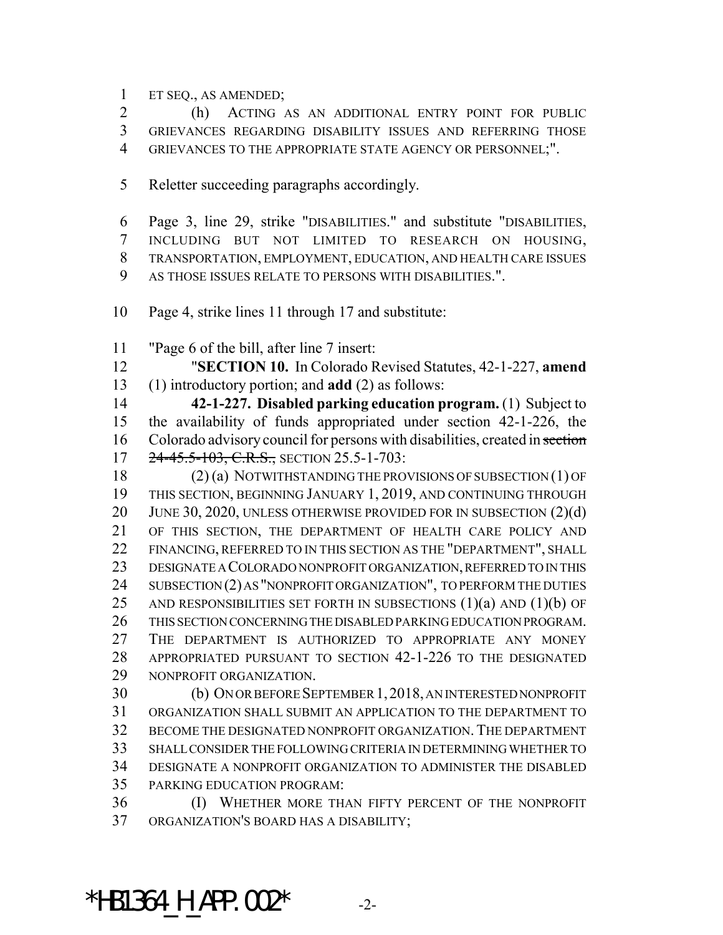ET SEQ., AS AMENDED;

 (h) ACTING AS AN ADDITIONAL ENTRY POINT FOR PUBLIC GRIEVANCES REGARDING DISABILITY ISSUES AND REFERRING THOSE GRIEVANCES TO THE APPROPRIATE STATE AGENCY OR PERSONNEL;".

- Reletter succeeding paragraphs accordingly.
- Page 3, line 29, strike "DISABILITIES." and substitute "DISABILITIES, INCLUDING BUT NOT LIMITED TO RESEARCH ON HOUSING, TRANSPORTATION, EMPLOYMENT, EDUCATION, AND HEALTH CARE ISSUES AS THOSE ISSUES RELATE TO PERSONS WITH DISABILITIES.".
- Page 4, strike lines 11 through 17 and substitute:
- "Page 6 of the bill, after line 7 insert:

 "**SECTION 10.** In Colorado Revised Statutes, 42-1-227, **amend** (1) introductory portion; and **add** (2) as follows:

 **42-1-227. Disabled parking education program.** (1) Subject to the availability of funds appropriated under section 42-1-226, the 16 Colorado advisory council for persons with disabilities, created in section 17 24-45.5-103, C.R.S., SECTION 25.5-1-703:

 (2) (a) NOTWITHSTANDING THE PROVISIONS OF SUBSECTION (1) OF THIS SECTION, BEGINNING JANUARY 1, 2019, AND CONTINUING THROUGH 20 JUNE 30, 2020, UNLESS OTHERWISE PROVIDED FOR IN SUBSECTION (2)(d) OF THIS SECTION, THE DEPARTMENT OF HEALTH CARE POLICY AND FINANCING, REFERRED TO IN THIS SECTION AS THE "DEPARTMENT", SHALL DESIGNATE A COLORADO NONPROFIT ORGANIZATION, REFERRED TO IN THIS 24 SUBSECTION (2) AS "NONPROFIT ORGANIZATION", TO PERFORM THE DUTIES 25 AND RESPONSIBILITIES SET FORTH IN SUBSECTIONS  $(1)(a)$  and  $(1)(b)$  OF THIS SECTION CONCERNING THE DISABLED PARKING EDUCATION PROGRAM. THE DEPARTMENT IS AUTHORIZED TO APPROPRIATE ANY MONEY APPROPRIATED PURSUANT TO SECTION 42-1-226 TO THE DESIGNATED NONPROFIT ORGANIZATION.

 (b) ON OR BEFORE SEPTEMBER 1,2018, AN INTERESTED NONPROFIT ORGANIZATION SHALL SUBMIT AN APPLICATION TO THE DEPARTMENT TO 32 BECOME THE DESIGNATED NONPROFIT ORGANIZATION. THE DEPARTMENT SHALL CONSIDER THE FOLLOWING CRITERIA IN DETERMINING WHETHER TO DESIGNATE A NONPROFIT ORGANIZATION TO ADMINISTER THE DISABLED PARKING EDUCATION PROGRAM:

 (I) WHETHER MORE THAN FIFTY PERCENT OF THE NONPROFIT ORGANIZATION'S BOARD HAS A DISABILITY;

\*HB1364 H APP.002\* -2-